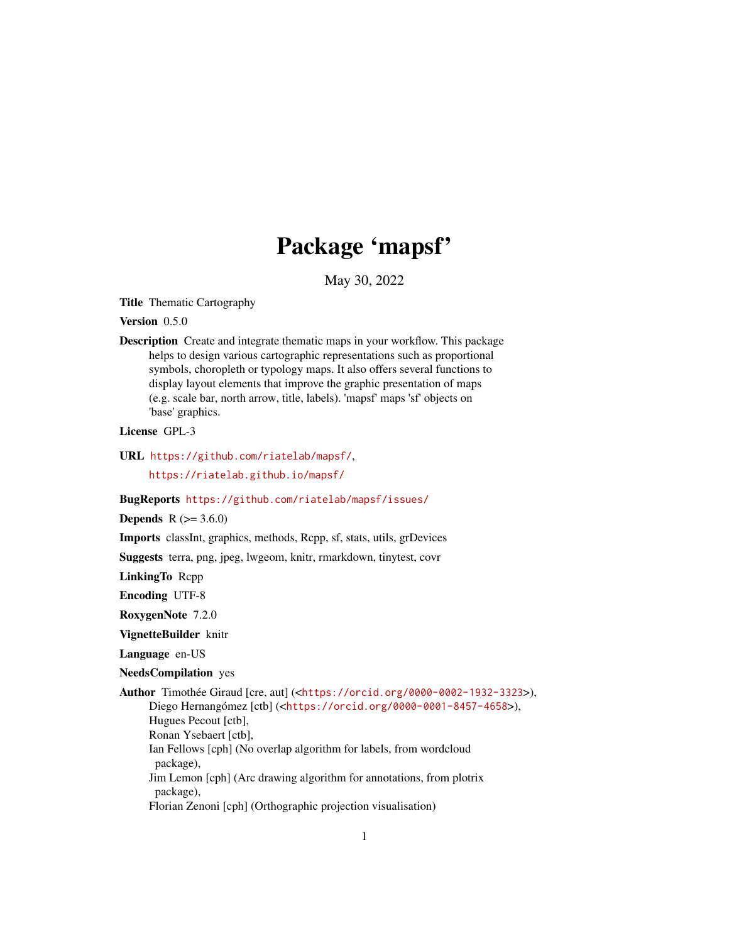## Package 'mapsf'

May 30, 2022

<span id="page-0-0"></span>Title Thematic Cartography

Version 0.5.0

Description Create and integrate thematic maps in your workflow. This package helps to design various cartographic representations such as proportional symbols, choropleth or typology maps. It also offers several functions to display layout elements that improve the graphic presentation of maps (e.g. scale bar, north arrow, title, labels). 'mapsf' maps 'sf' objects on 'base' graphics.

License GPL-3

URL <https://github.com/riatelab/mapsf/>,

<https://riatelab.github.io/mapsf/>

#### BugReports <https://github.com/riatelab/mapsf/issues/>

**Depends**  $R (= 3.6.0)$ 

Imports classInt, graphics, methods, Rcpp, sf, stats, utils, grDevices

Suggests terra, png, jpeg, lwgeom, knitr, rmarkdown, tinytest, covr

LinkingTo Rcpp

Encoding UTF-8

RoxygenNote 7.2.0

VignetteBuilder knitr

Language en-US

NeedsCompilation yes

Author Timothée Giraud [cre, aut] (<<https://orcid.org/0000-0002-1932-3323>>), Diego Hernangómez [ctb] (<<https://orcid.org/0000-0001-8457-4658>>), Hugues Pecout [ctb], Ronan Ysebaert [ctb], Ian Fellows [cph] (No overlap algorithm for labels, from wordcloud package), Jim Lemon [cph] (Arc drawing algorithm for annotations, from plotrix package), Florian Zenoni [cph] (Orthographic projection visualisation)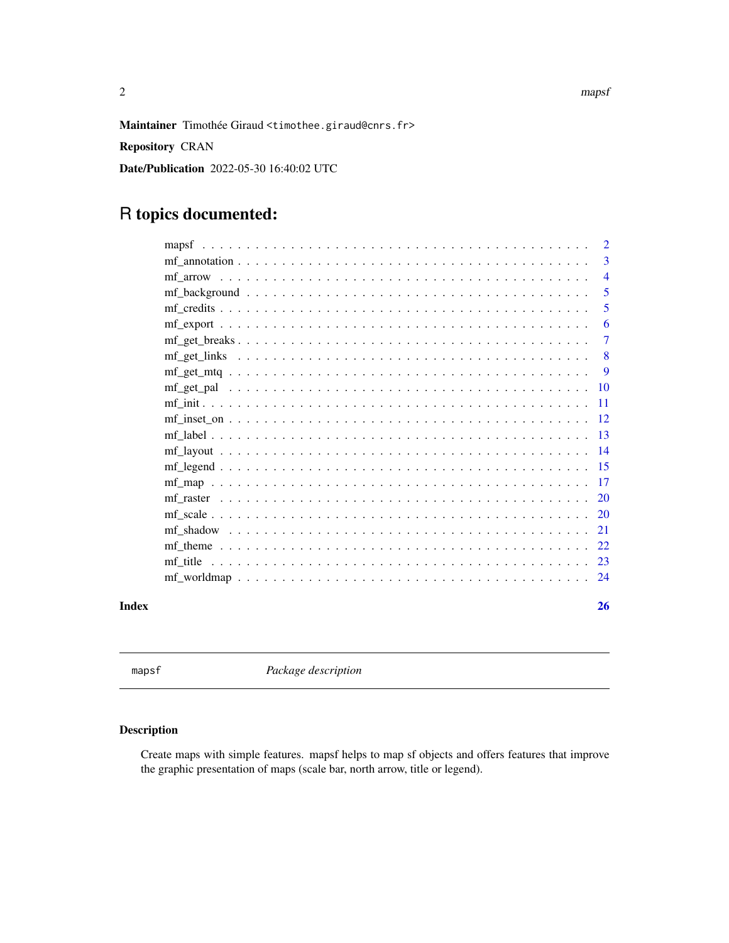<span id="page-1-0"></span>2 maps to the contract of the contract of the contract of the contract of the contract of the contract of the contract of the contract of the contract of the contract of the contract of the contract of the contract of the

Maintainer Timothée Giraud <timothee.giraud@cnrs.fr>

Repository CRAN

Date/Publication 2022-05-30 16:40:02 UTC

## R topics documented:

|       |                                                                                                                                                                  |  |  |  |  |  |  |  |  |  |  |  |  |  |  | 2               |
|-------|------------------------------------------------------------------------------------------------------------------------------------------------------------------|--|--|--|--|--|--|--|--|--|--|--|--|--|--|-----------------|
|       |                                                                                                                                                                  |  |  |  |  |  |  |  |  |  |  |  |  |  |  | 3               |
|       |                                                                                                                                                                  |  |  |  |  |  |  |  |  |  |  |  |  |  |  | $\overline{4}$  |
|       |                                                                                                                                                                  |  |  |  |  |  |  |  |  |  |  |  |  |  |  | 5               |
|       |                                                                                                                                                                  |  |  |  |  |  |  |  |  |  |  |  |  |  |  | 5               |
|       |                                                                                                                                                                  |  |  |  |  |  |  |  |  |  |  |  |  |  |  | 6               |
|       |                                                                                                                                                                  |  |  |  |  |  |  |  |  |  |  |  |  |  |  | 7               |
|       |                                                                                                                                                                  |  |  |  |  |  |  |  |  |  |  |  |  |  |  | 8               |
|       |                                                                                                                                                                  |  |  |  |  |  |  |  |  |  |  |  |  |  |  | 9               |
|       |                                                                                                                                                                  |  |  |  |  |  |  |  |  |  |  |  |  |  |  | $\overline{10}$ |
|       |                                                                                                                                                                  |  |  |  |  |  |  |  |  |  |  |  |  |  |  | $-11$           |
|       |                                                                                                                                                                  |  |  |  |  |  |  |  |  |  |  |  |  |  |  |                 |
|       |                                                                                                                                                                  |  |  |  |  |  |  |  |  |  |  |  |  |  |  |                 |
|       |                                                                                                                                                                  |  |  |  |  |  |  |  |  |  |  |  |  |  |  | $\overline{14}$ |
|       |                                                                                                                                                                  |  |  |  |  |  |  |  |  |  |  |  |  |  |  |                 |
|       |                                                                                                                                                                  |  |  |  |  |  |  |  |  |  |  |  |  |  |  |                 |
|       |                                                                                                                                                                  |  |  |  |  |  |  |  |  |  |  |  |  |  |  | -20             |
|       |                                                                                                                                                                  |  |  |  |  |  |  |  |  |  |  |  |  |  |  |                 |
|       |                                                                                                                                                                  |  |  |  |  |  |  |  |  |  |  |  |  |  |  | 21              |
|       | mf theme $\ldots$ , $\ldots$ , $\ldots$ , $\ldots$ , $\ldots$ , $\ldots$ , $\ldots$ , $\ldots$ , $\ldots$ , $\ldots$ , $\ldots$ , $\ldots$ , $\ldots$ , $\ldots$ |  |  |  |  |  |  |  |  |  |  |  |  |  |  | 22              |
|       |                                                                                                                                                                  |  |  |  |  |  |  |  |  |  |  |  |  |  |  | -23             |
|       |                                                                                                                                                                  |  |  |  |  |  |  |  |  |  |  |  |  |  |  | 24              |
| Index |                                                                                                                                                                  |  |  |  |  |  |  |  |  |  |  |  |  |  |  | 26              |

mapsf *Package description*

### Description

Create maps with simple features. mapsf helps to map sf objects and offers features that improve the graphic presentation of maps (scale bar, north arrow, title or legend).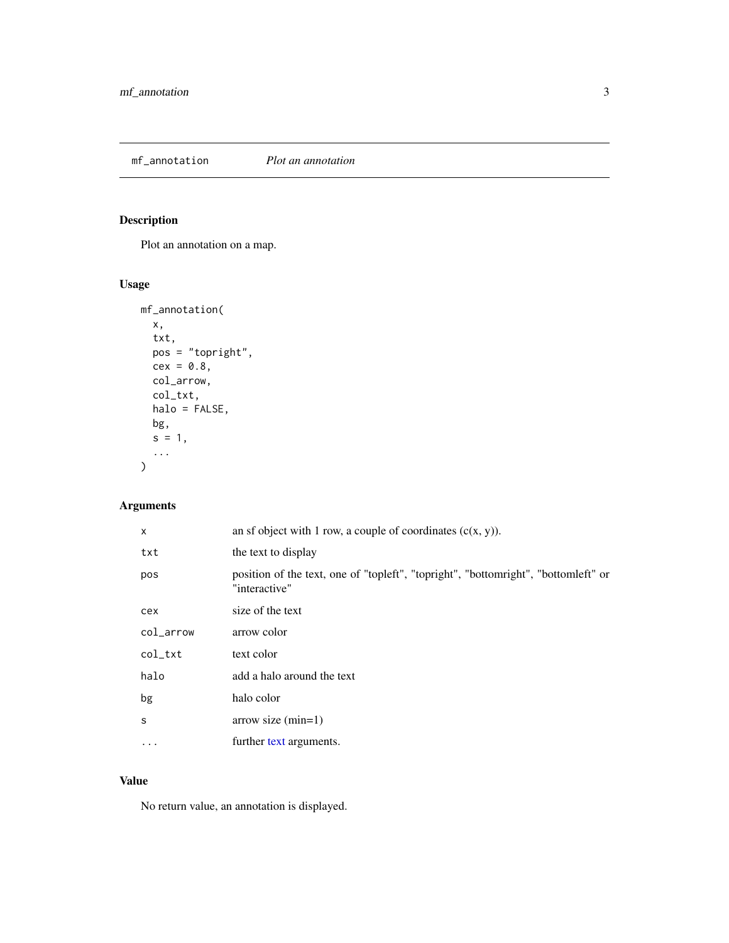<span id="page-2-0"></span>mf\_annotation *Plot an annotation*

## Description

Plot an annotation on a map.

### Usage

```
mf_annotation(
 x,
  txt,
 pos = "topright",
 cex = 0.8,
 col_arrow,
 col_txt,
 halo = FALSE,
 bg,
 s = 1,...
)
```
### Arguments

| X         | an sf object with 1 row, a couple of coordinates $(c(x, y))$ .                                      |
|-----------|-----------------------------------------------------------------------------------------------------|
| txt       | the text to display                                                                                 |
| pos       | position of the text, one of "topleft", "topright", "bottomright", "bottomleft" or<br>"interactive" |
| cex       | size of the text                                                                                    |
| col_arrow | arrow color                                                                                         |
| col_txt   | text color                                                                                          |
| halo      | add a halo around the text                                                                          |
| bg        | halo color                                                                                          |
| S         | $arrow size (min=1)$                                                                                |
| .         | further text arguments.                                                                             |

### Value

No return value, an annotation is displayed.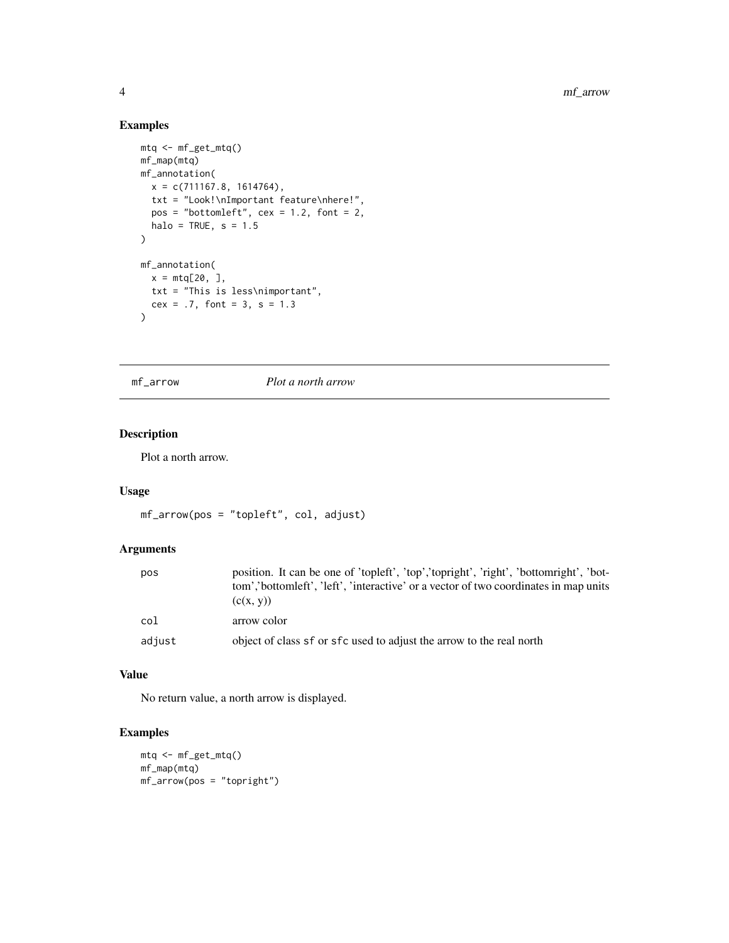### Examples

```
mtq <- mf_get_mtq()
mf_map(mtq)
mf_annotation(
 x = c(711167.8, 1614764),txt = "Look!\nImportant feature\nhere!",
  pos = "bottomleft", cex = 1.2, font = 2,halo = TRUE, s = 1.5)
mf_annotation(
 x = m t q [20, 1,txt = "This is less\nimportant",
 cex = .7, font = 3, s = 1.3
)
```
<span id="page-3-1"></span>mf\_arrow *Plot a north arrow*

### Description

Plot a north arrow.

### Usage

```
mf_arrow(pos = "topleft", col, adjust)
```
### Arguments

| pos    | position. It can be one of 'topleft', 'top','topright', 'right', 'bottomright', 'bot-<br>tom','bottomleft', 'left', 'interactive' or a vector of two coordinates in map units<br>(c(x, y)) |
|--------|--------------------------------------------------------------------------------------------------------------------------------------------------------------------------------------------|
| col    | arrow color                                                                                                                                                                                |
| adjust | object of class sf or sfc used to adjust the arrow to the real north                                                                                                                       |

### Value

No return value, a north arrow is displayed.

```
mtq <- mf_get_mtq()
mf_map(mtq)
mf_arrow(pos = "topright")
```
<span id="page-3-0"></span>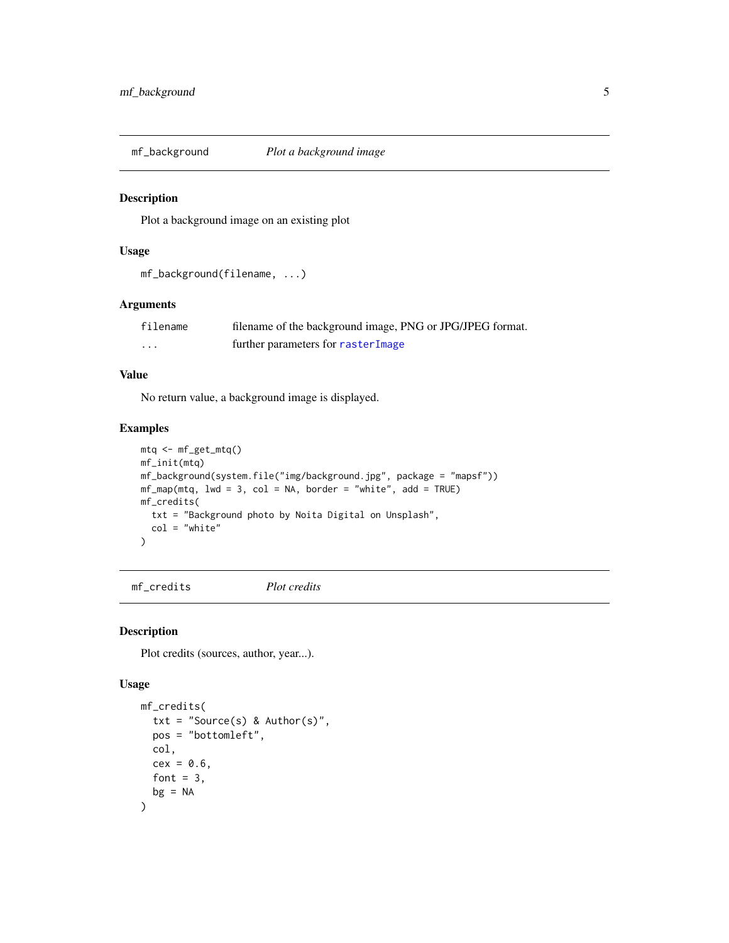<span id="page-4-0"></span>

### Description

Plot a background image on an existing plot

#### Usage

mf\_background(filename, ...)

#### Arguments

| filename | filename of the background image, PNG or JPG/JPEG format. |
|----------|-----------------------------------------------------------|
| $\cdot$  | further parameters for rasterImage                        |

### Value

No return value, a background image is displayed.

### Examples

```
mtq <- mf_get_mtq()
mf_init(mtq)
mf_background(system.file("img/background.jpg", package = "mapsf"))
mf_map(mtq, lwd = 3, col = NA, border = "white", add = TRUE)mf_credits(
  txt = "Background photo by Noita Digital on Unsplash",
  col = "white"
)
```
<span id="page-4-1"></span>mf\_credits *Plot credits*

#### Description

Plot credits (sources, author, year...).

```
mf_credits(
  txt = "Source(s) & Author(s)",
 pos = "bottomleft",
 col,
 cex = 0.6,
 font = 3,
 bg = NA)
```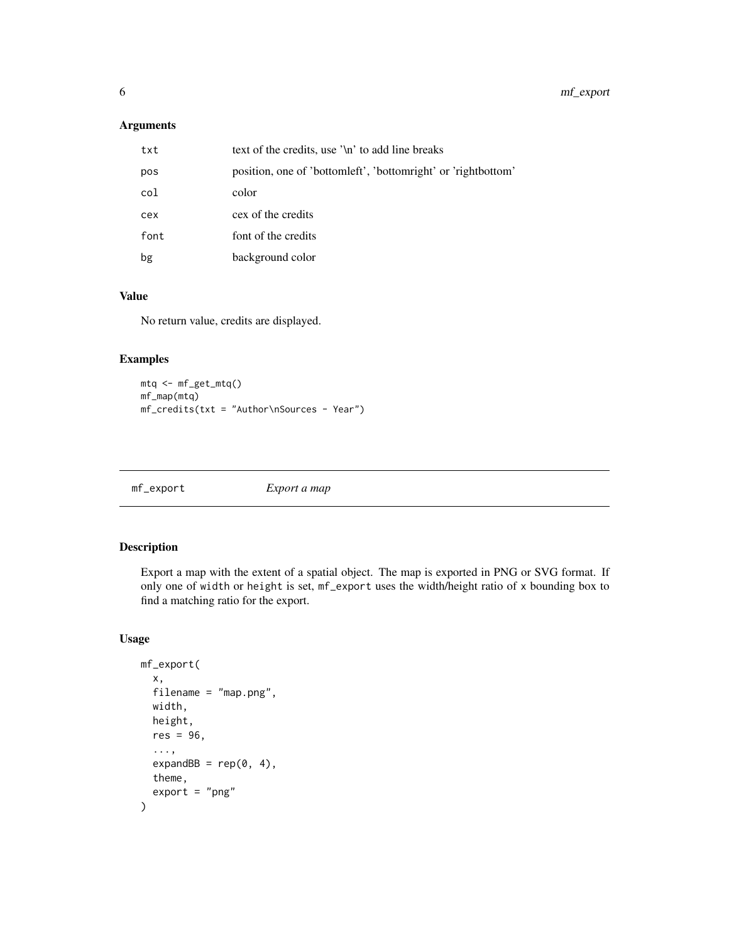### <span id="page-5-0"></span>Arguments

| txt  | text of the credits, use '\n' to add line breaks              |
|------|---------------------------------------------------------------|
| pos  | position, one of 'bottomleft', 'bottomright' or 'rightbottom' |
| col  | color                                                         |
| cex  | cex of the credits                                            |
| font | font of the credits                                           |
| bg   | background color                                              |

### Value

No return value, credits are displayed.

### Examples

```
mtq <- mf_get_mtq()
mf_map(mtq)
mf_credits(txt = "Author\nSources - Year")
```
mf\_export *Export a map*

### Description

Export a map with the extent of a spatial object. The map is exported in PNG or SVG format. If only one of width or height is set, mf\_export uses the width/height ratio of x bounding box to find a matching ratio for the export.

```
mf_export(
  x,
  filename = "map.png",
  width,
  height,
  res = 96.
  ...,
  expandBB = rep(0, 4),
  theme,
  export = "png"\mathcal{E}
```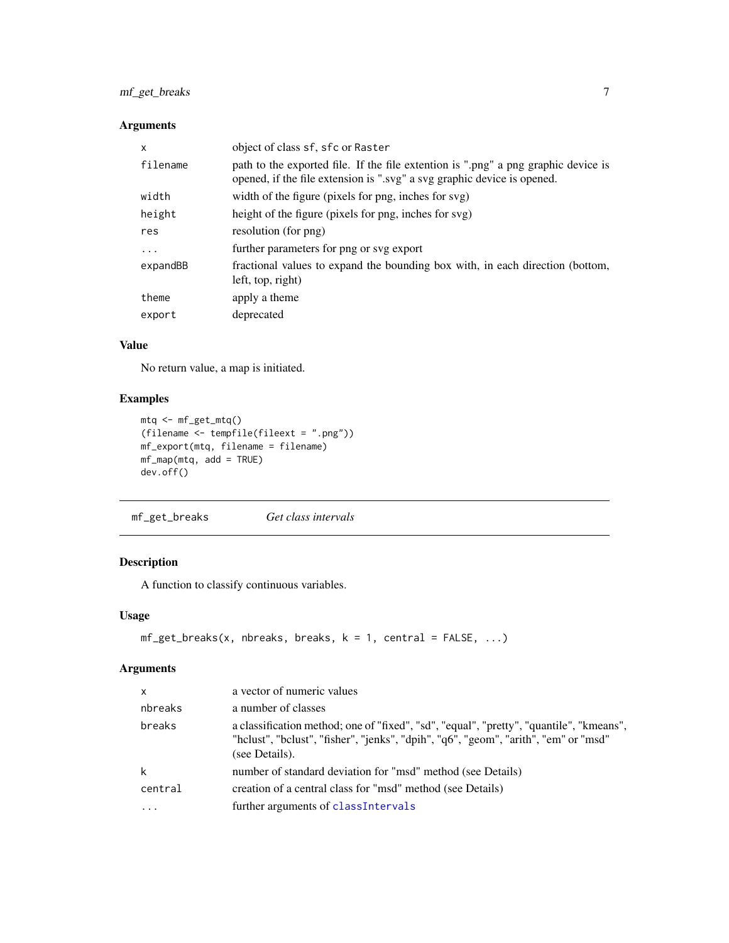### <span id="page-6-0"></span>mf\_get\_breaks 7

### Arguments

| X        | object of class sf, sfc or Raster                                                                                                                             |
|----------|---------------------------------------------------------------------------------------------------------------------------------------------------------------|
| filename | path to the exported file. If the file extention is ".png" a png graphic device is<br>opened, if the file extension is ".svg" a svg graphic device is opened. |
| width    | width of the figure (pixels for png, inches for svg)                                                                                                          |
| height   | height of the figure (pixels for png, inches for svg)                                                                                                         |
| res      | resolution (for png)                                                                                                                                          |
| $\cdots$ | further parameters for png or svg export                                                                                                                      |
| expandBB | fractional values to expand the bounding box with, in each direction (bottom,<br>left, top, right)                                                            |
| theme    | apply a theme                                                                                                                                                 |
| export   | deprecated                                                                                                                                                    |

### Value

No return value, a map is initiated.

### Examples

```
mtq <- mf_get_mtq()
(filename <- tempfile(fileext = ".png"))
mf_export(mtq, filename = filename)
mf_map(mtq, add = TRUE)
dev.off()
```
<span id="page-6-1"></span>mf\_get\_breaks *Get class intervals*

### Description

A function to classify continuous variables.

### Usage

```
mf\_get\_breaks(x, nbreaks, breaks, k = 1, central = FALSE, ...)
```
### Arguments

| $\mathsf{x}$ | a vector of numeric values                                                                                                                                                                       |
|--------------|--------------------------------------------------------------------------------------------------------------------------------------------------------------------------------------------------|
| nbreaks      | a number of classes                                                                                                                                                                              |
| breaks       | a classification method; one of "fixed", "sd", "equal", "pretty", "quantile", "kmeans",<br>"helust", "belust", "fisher", "jenks", "dpih", "q6", "geom", "arith", "em" or "msd"<br>(see Details). |
| k            | number of standard deviation for "msd" method (see Details)                                                                                                                                      |
| central      | creation of a central class for "msd" method (see Details)                                                                                                                                       |
| $\cdots$     | further arguments of classIntervals                                                                                                                                                              |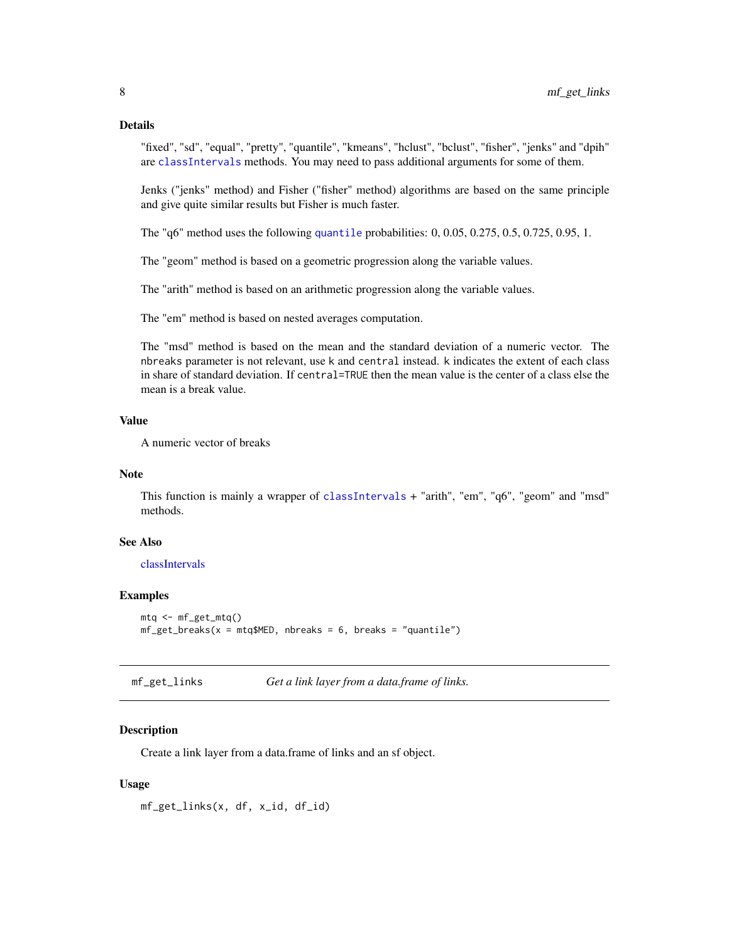### <span id="page-7-0"></span>Details

"fixed", "sd", "equal", "pretty", "quantile", "kmeans", "hclust", "bclust", "fisher", "jenks" and "dpih" are [classIntervals](#page-0-0) methods. You may need to pass additional arguments for some of them.

Jenks ("jenks" method) and Fisher ("fisher" method) algorithms are based on the same principle and give quite similar results but Fisher is much faster.

The "q6" method uses the following [quantile](#page-0-0) probabilities: 0, 0.05, 0.275, 0.5, 0.725, 0.95, 1.

The "geom" method is based on a geometric progression along the variable values.

The "arith" method is based on an arithmetic progression along the variable values.

The "em" method is based on nested averages computation.

The "msd" method is based on the mean and the standard deviation of a numeric vector. The nbreaks parameter is not relevant, use k and central instead. k indicates the extent of each class in share of standard deviation. If central=TRUE then the mean value is the center of a class else the mean is a break value.

#### Value

A numeric vector of breaks

#### Note

This function is mainly a wrapper of [classIntervals](#page-0-0) + "arith", "em", "q6", "geom" and "msd" methods.

### See Also

[classIntervals](#page-0-0)

### Examples

```
mtq <- mf_get_mtq()
mf\_get\_breaks(x = mtq$MED, nbreaks = 6, breaks = "quantile")
```
mf\_get\_links *Get a link layer from a data.frame of links.*

### Description

Create a link layer from a data.frame of links and an sf object.

#### Usage

mf\_get\_links(x, df, x\_id, df\_id)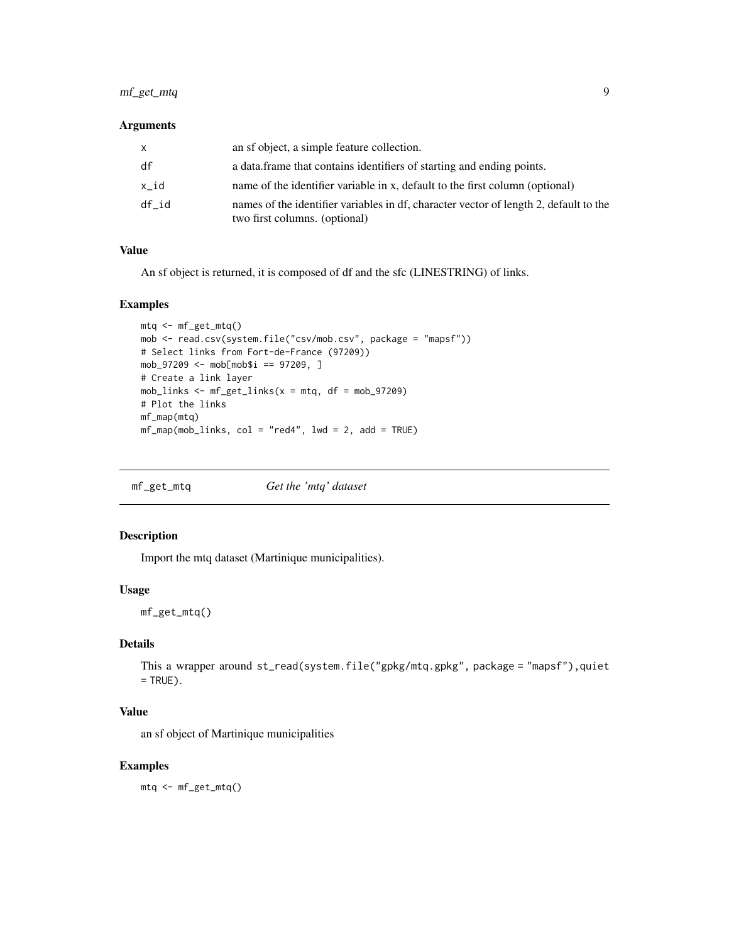### <span id="page-8-0"></span>mf\_get\_mtq 9

### Arguments

| x     | an sf object, a simple feature collection.                                                                             |
|-------|------------------------------------------------------------------------------------------------------------------------|
| df    | a data frame that contains identifiers of starting and ending points.                                                  |
| x id  | name of the identifier variable in x, default to the first column (optional)                                           |
| df id | names of the identifier variables in df, character vector of length 2, default to the<br>two first columns. (optional) |

### Value

An sf object is returned, it is composed of df and the sfc (LINESTRING) of links.

#### Examples

```
mtq <- mf_get_mtq()
mob <- read.csv(system.file("csv/mob.csv", package = "mapsf"))
# Select links from Fort-de-France (97209))
mob_97209 <- mob[mob$i == 97209, ]
# Create a link layer
mob_links \leq mf_get_links(x = mtq, df = mob_97209)
# Plot the links
mf_map(mtq)
mf_map(mob_links, col = "red4", lwd = 2, add = TRUE)
```
mf\_get\_mtq *Get the 'mtq' dataset*

### Description

Import the mtq dataset (Martinique municipalities).

### Usage

mf\_get\_mtq()

### Details

```
This a wrapper around st_read(system.file("gpkg/mtq.gpkg", package = "mapsf"),quiet
= TRUE).
```
### Value

an sf object of Martinique municipalities

### Examples

mtq <- mf\_get\_mtq()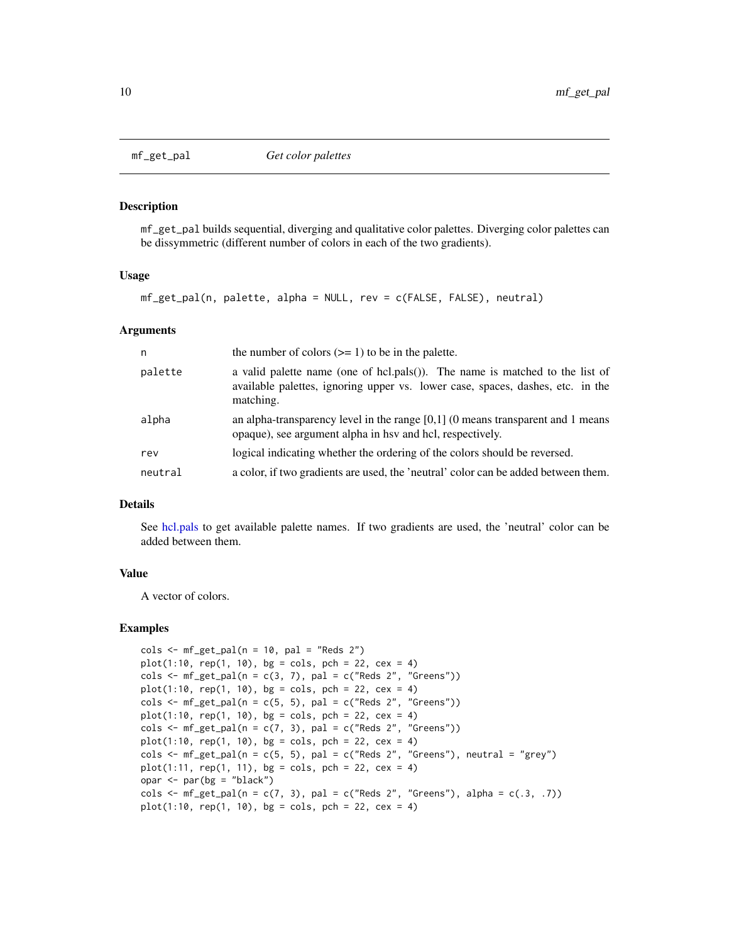<span id="page-9-0"></span>

#### Description

mf\_get\_pal builds sequential, diverging and qualitative color palettes. Diverging color palettes can be dissymmetric (different number of colors in each of the two gradients).

#### Usage

mf\_get\_pal(n, palette, alpha = NULL, rev = c(FALSE, FALSE), neutral)

#### Arguments

| n       | the number of colors $(>= 1)$ to be in the palette.                                                                                                                         |
|---------|-----------------------------------------------------------------------------------------------------------------------------------------------------------------------------|
| palette | a valid palette name (one of hcl.pals()). The name is matched to the list of<br>available palettes, ignoring upper vs. lower case, spaces, dashes, etc. in the<br>matching. |
| alpha   | an alpha-transparency level in the range $[0,1]$ (0 means transparent and 1 means<br>opaque), see argument alpha in hsv and hcl, respectively.                              |
| rev     | logical indicating whether the ordering of the colors should be reversed.                                                                                                   |
| neutral | a color, if two gradients are used, the 'neutral' color can be added between them.                                                                                          |

### Details

See [hcl.pals](#page-0-0) to get available palette names. If two gradients are used, the 'neutral' color can be added between them.

#### Value

A vector of colors.

```
\text{cols} \leq \text{mf}_\text{get}\_\text{pal}(n = 10, \text{ pal} = \text{"Reds 2"})plot(1:10, rep(1, 10), bg = cols, pch = 22, cex = 4)\text{cols} \leq \text{mf}_\text{get}\text{pal}(\text{n} = \text{c}(3, 7), \text{ pal} = \text{c}("Reds 2", "Greens"))plot(1:10, rep(1, 10), bg = cols, pch = 22, cex = 4)\text{cols} \leq \text{mf}_\text{get}\text{pal}(\text{n} = \text{c}(5, 5), \text{ pal} = \text{c}("Reds 2", "Greens"))plot(1:10, rep(1, 10), bg = cols, pch = 22, cex = 4)cols \leq m f_{getpal}(n = c(7, 3), pal = c("Reds 2", "Greens"))plot(1:10, rep(1, 10), bg = cols, pch = 22, cex = 4)cols < - mf\_get\_pal(n = c(5, 5), pal = c("Reds 2", "Greens"), neutral = "grey")plot(1:11, rep(1, 11), bg = cols, pch = 22, cex = 4)opar <- par(bg = "black")
cols \leq mf_get_pal(n = c(7, 3), pal = c("Reds 2", "Greens"), alpha = c(.3, .7))
plot(1:10, rep(1, 10), bg = cols, pch = 22, cex = 4)
```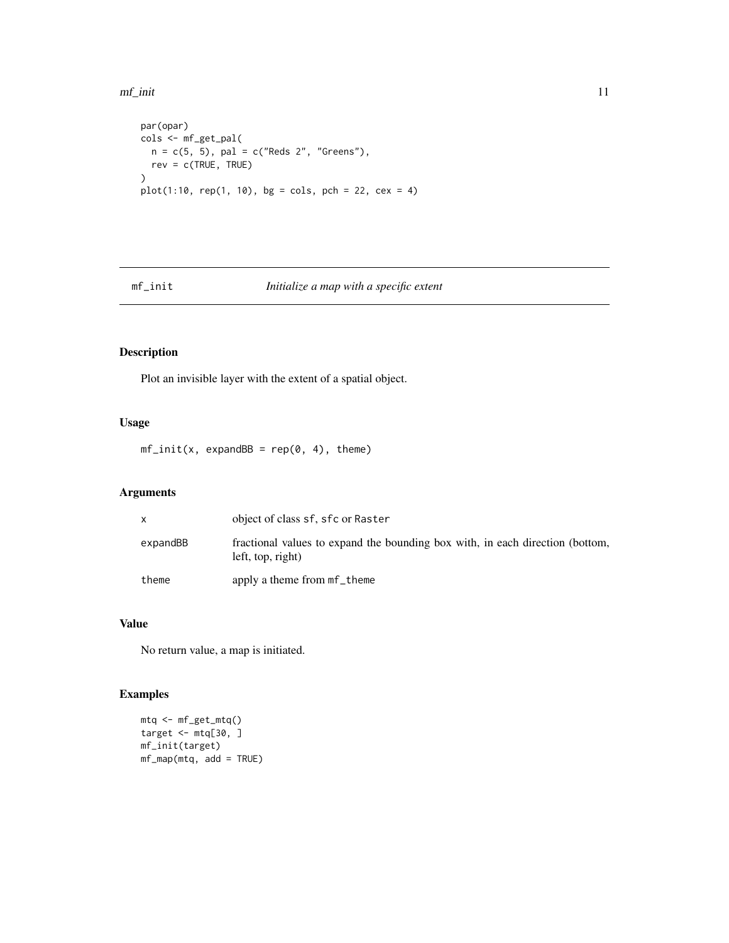<span id="page-10-0"></span>mf\_init 11

```
par(opar)
cols <- mf_get_pal(
 n = c(5, 5), pal = c("Reds 2", "Greens"),rev = c(TRUE, TRUE)
\mathcal{L}plot(1:10, rep(1, 10), bg = cols, pch = 22, cex = 4)
```
### mf\_init *Initialize a map with a specific extent*

### Description

Plot an invisible layer with the extent of a spatial object.

### Usage

 $mf\_init(x, expandBB = rep(0, 4), them)$ 

### Arguments

|          | object of class sf, sfc or Raster                                                                  |
|----------|----------------------------------------------------------------------------------------------------|
| expandBB | fractional values to expand the bounding box with, in each direction (bottom,<br>left, top, right) |
| theme    | apply a theme from mf_theme                                                                        |

### Value

No return value, a map is initiated.

```
mtq <- mf_get_mtq()
target <- mtq[30, ]
mf_init(target)
mf_map(mtq, add = TRUE)
```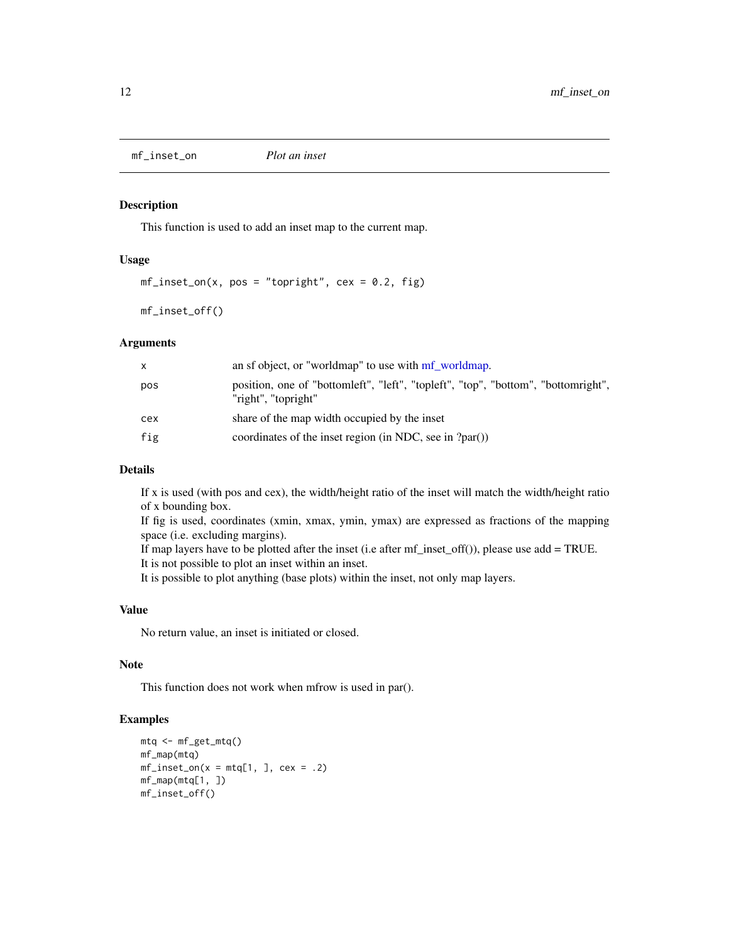<span id="page-11-0"></span>mf\_inset\_on *Plot an inset*

### Description

This function is used to add an inset map to the current map.

### Usage

```
mf\_insert\_on(x, pos = "topright", cex = 0.2, fig)
```
mf\_inset\_off()

#### **Arguments**

| X.  | an sf object, or "worldmap" to use with mf worldmap.                                                     |
|-----|----------------------------------------------------------------------------------------------------------|
| pos | position, one of "bottomleft", "left", "topleft", "top", "bottom", "bottomright",<br>"right", "topright" |
| cex | share of the map width occupied by the inset                                                             |
| fig | coordinates of the inset region (in NDC, see in ?par())                                                  |

### Details

If x is used (with pos and cex), the width/height ratio of the inset will match the width/height ratio of x bounding box.

If fig is used, coordinates (xmin, xmax, ymin, ymax) are expressed as fractions of the mapping space (i.e. excluding margins).

If map layers have to be plotted after the inset (i.e after mf\_inset\_off()), please use add = TRUE.

It is not possible to plot an inset within an inset.

It is possible to plot anything (base plots) within the inset, not only map layers.

### Value

No return value, an inset is initiated or closed.

### Note

This function does not work when mfrow is used in par().

```
mtq <- mf_get_mtq()
mf_map(mtq)
mf\_insert\_on(x = mtq[1, ], cex = .2)mf_map(mtq[1, ])
mf_inset_off()
```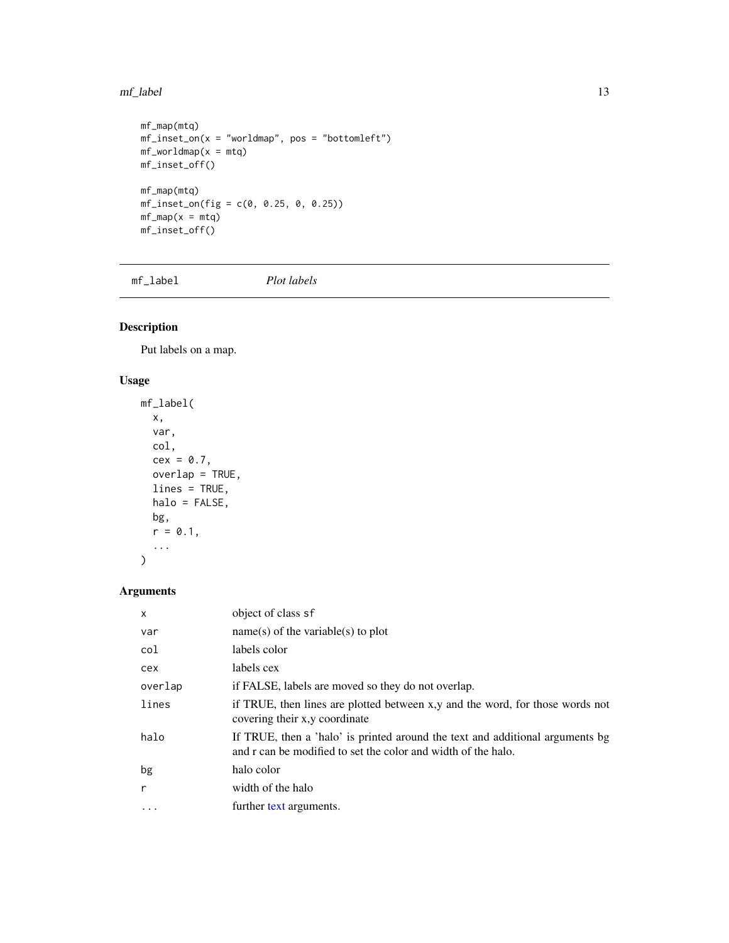#### <span id="page-12-0"></span>mf\_label 13

```
mf_map(mtq)
mf\_insert\_on(x = "worldmap", pos = "bottomleft")mf_wordmap(x = mtq)mf_inset_off()
mf_map(mtq)
mf\_insert\_on(fig = c(0, 0.25, 0, 0.25))mf_map(x = mtq)mf_inset_off()
```
mf\_label *Plot labels*

### Description

Put labels on a map.

### Usage

```
mf_label(
  x,
  var,
  col,
  cex = 0.7,
  overlap = TRUE,
  lines = TRUE,
  halo = FALSE,
  bg,
  r = 0.1,
  ...
)
```
### Arguments

| X         | object of class sf                                                                                                                             |
|-----------|------------------------------------------------------------------------------------------------------------------------------------------------|
| var       | $name(s)$ of the variable(s) to plot                                                                                                           |
| col       | labels color                                                                                                                                   |
| cex       | labels cex                                                                                                                                     |
| overlap   | if FALSE, labels are moved so they do not overlap.                                                                                             |
| lines     | if TRUE, then lines are plotted between x,y and the word, for those words not<br>covering their x, y coordinate                                |
| halo      | If TRUE, then a 'halo' is printed around the text and additional arguments bg<br>and r can be modified to set the color and width of the halo. |
| bg        | halo color                                                                                                                                     |
| r         | width of the halo                                                                                                                              |
| $\ddotsc$ | further text arguments.                                                                                                                        |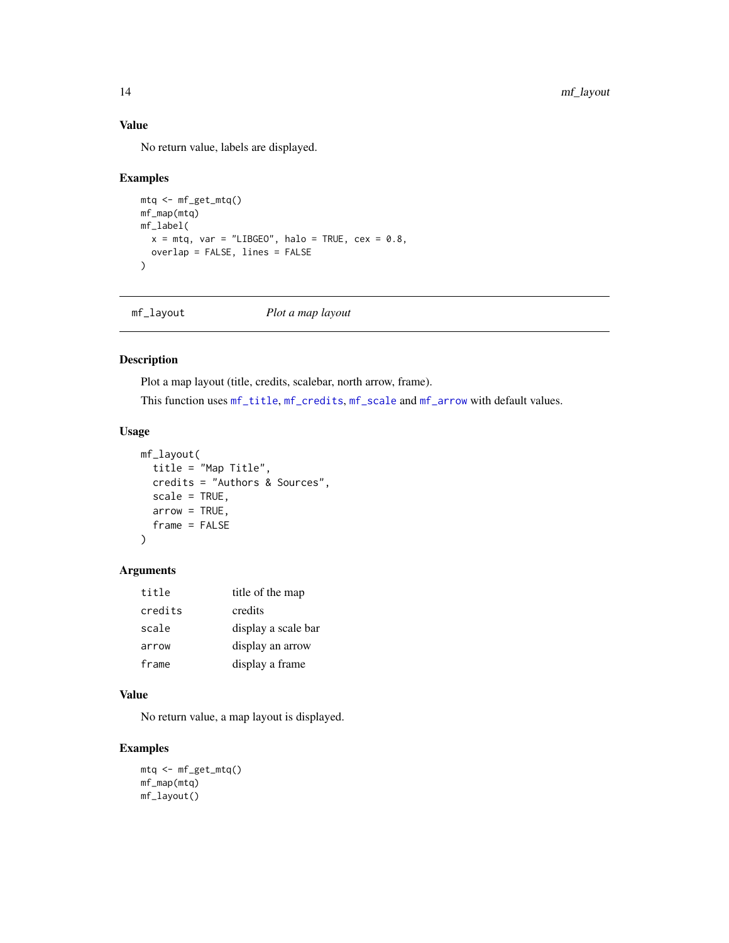### Value

No return value, labels are displayed.

#### Examples

```
mtq <- mf_get_mtq()
mf_map(mtq)
mf_label(
 x = m t q, var = "LIBGEO", halo = TRUE, cex = 0.8,
  overlap = FALSE, lines = FALSE
\mathcal{L}
```

```
mf_layout Plot a map layout
```
### Description

Plot a map layout (title, credits, scalebar, north arrow, frame).

This function uses [mf\\_title](#page-22-1), [mf\\_credits](#page-4-1), [mf\\_scale](#page-19-1) and [mf\\_arrow](#page-3-1) with default values.

### Usage

```
mf_layout(
 title = "Map Title",
 credits = "Authors & Sources",
  scale = TRUE,
 arrow = TRUE,
  frame = FALSE
)
```
### Arguments

| title   | title of the map    |
|---------|---------------------|
| credits | credits             |
| scale   | display a scale bar |
| arrow   | display an arrow    |
| frame   | display a frame     |

### Value

No return value, a map layout is displayed.

```
mtq <- mf_get_mtq()
mf_map(mtq)
mf_layout()
```
<span id="page-13-0"></span>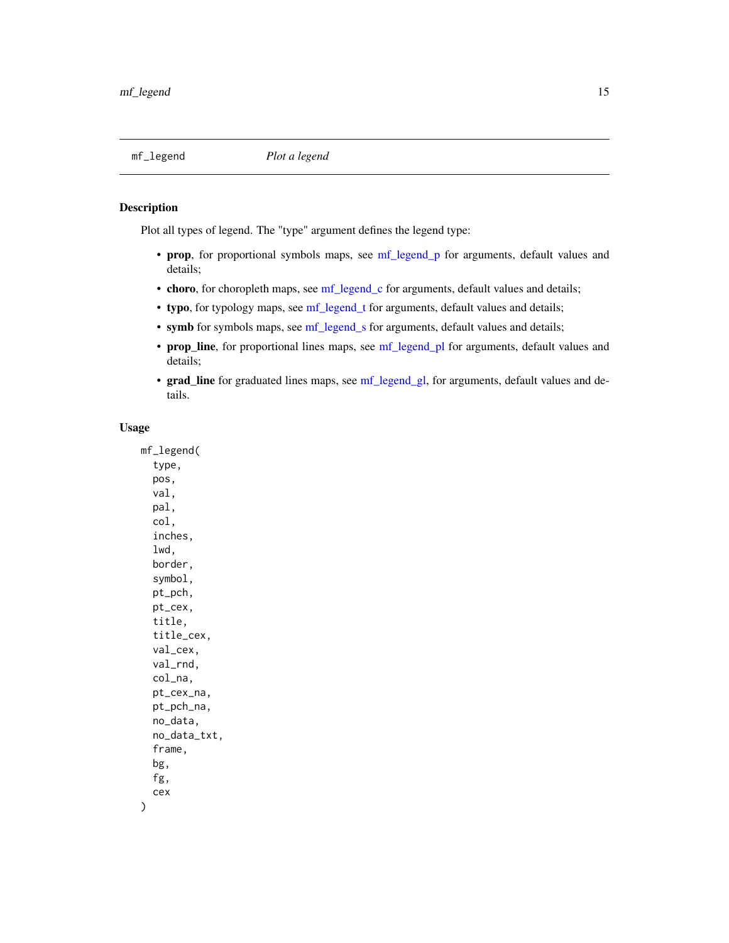### <span id="page-14-0"></span>Description

Plot all types of legend. The "type" argument defines the legend type:

- prop, for proportional symbols maps, see [mf\\_legend\\_p](#page-0-0) for arguments, default values and details;
- choro, for choropleth maps, see [mf\\_legend\\_c](#page-0-0) for arguments, default values and details;
- typo, for typology maps, see [mf\\_legend\\_t](#page-0-0) for arguments, default values and details;
- symb for symbols maps, see [mf\\_legend\\_s](#page-0-0) for arguments, default values and details;
- prop\_line, for proportional lines maps, see [mf\\_legend\\_pl](#page-0-0) for arguments, default values and details;
- grad\_line for graduated lines maps, see [mf\\_legend\\_gl,](#page-0-0) for arguments, default values and details.

### Usage

mf\_legend( type, pos, val, pal, col, inches, lwd, border, symbol, pt\_pch, pt\_cex, title, title\_cex, val\_cex, val\_rnd, col\_na, pt\_cex\_na, pt\_pch\_na, no\_data, no\_data\_txt, frame, bg, fg, cex )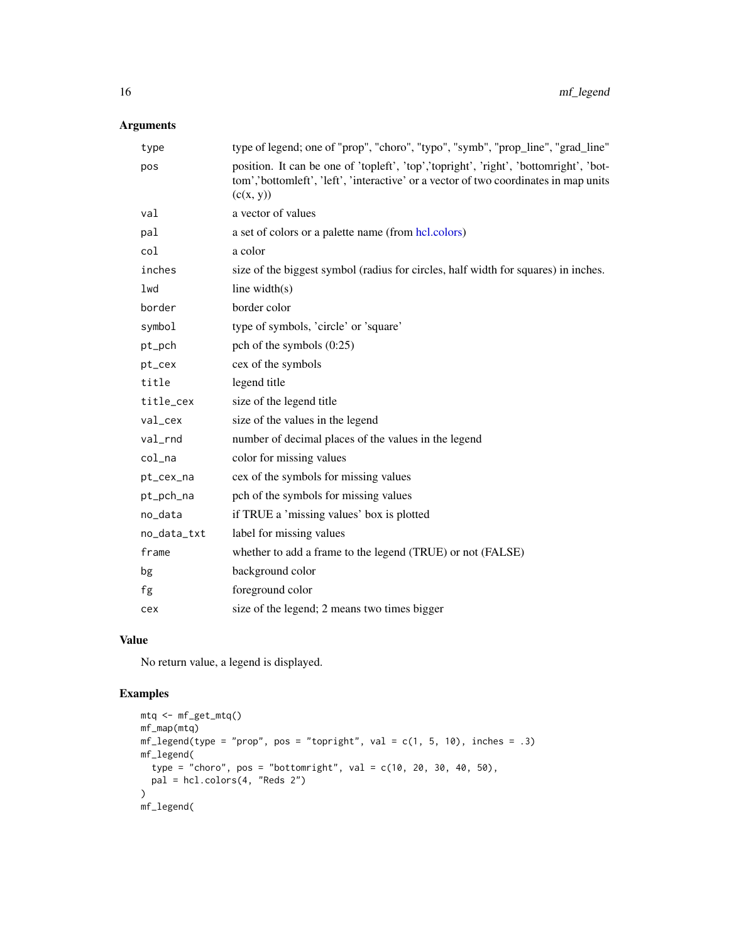### <span id="page-15-0"></span>Arguments

| type        | type of legend; one of "prop", "choro", "typo", "symb", "prop_line", "grad_line"                                                                                                           |
|-------------|--------------------------------------------------------------------------------------------------------------------------------------------------------------------------------------------|
| pos         | position. It can be one of 'topleft', 'top','topright', 'right', 'bottomright', 'bot-<br>tom','bottomleft', 'left', 'interactive' or a vector of two coordinates in map units<br>(c(x, y)) |
| val         | a vector of values                                                                                                                                                                         |
| pal         | a set of colors or a palette name (from hcl.colors)                                                                                                                                        |
| col         | a color                                                                                                                                                                                    |
| inches      | size of the biggest symbol (radius for circles, half width for squares) in inches.                                                                                                         |
| lwd         | line width $(s)$                                                                                                                                                                           |
| border      | border color                                                                                                                                                                               |
| symbol      | type of symbols, 'circle' or 'square'                                                                                                                                                      |
| pt_pch      | pch of the symbols $(0:25)$                                                                                                                                                                |
| pt_cex      | cex of the symbols                                                                                                                                                                         |
| title       | legend title                                                                                                                                                                               |
| title_cex   | size of the legend title                                                                                                                                                                   |
| val_cex     | size of the values in the legend                                                                                                                                                           |
| val         | number of decimal places of the values in the legend                                                                                                                                       |
| col_na      | color for missing values                                                                                                                                                                   |
| pt_cex_na   | cex of the symbols for missing values                                                                                                                                                      |
| pt_pch_na   | pch of the symbols for missing values                                                                                                                                                      |
| no_data     | if TRUE a 'missing values' box is plotted                                                                                                                                                  |
| no_data_txt | label for missing values                                                                                                                                                                   |
| frame       | whether to add a frame to the legend (TRUE) or not (FALSE)                                                                                                                                 |
| bg          | background color                                                                                                                                                                           |
| fg          | foreground color                                                                                                                                                                           |
| cex         | size of the legend; 2 means two times bigger                                                                                                                                               |
|             |                                                                                                                                                                                            |

### Value

No return value, a legend is displayed.

```
mtq <- mf_get_mtq()
mf_map(mtq)
mf\_legend(type = "prop", pos = "topright", val = c(1, 5, 10), inches = .3)mf_legend(
 type = "choro", pos = "bottomright", val = c(10, 20, 30, 40, 50),
 pal = hcl.colors(4, "Reds 2")
\mathcal{L}mf_legend(
```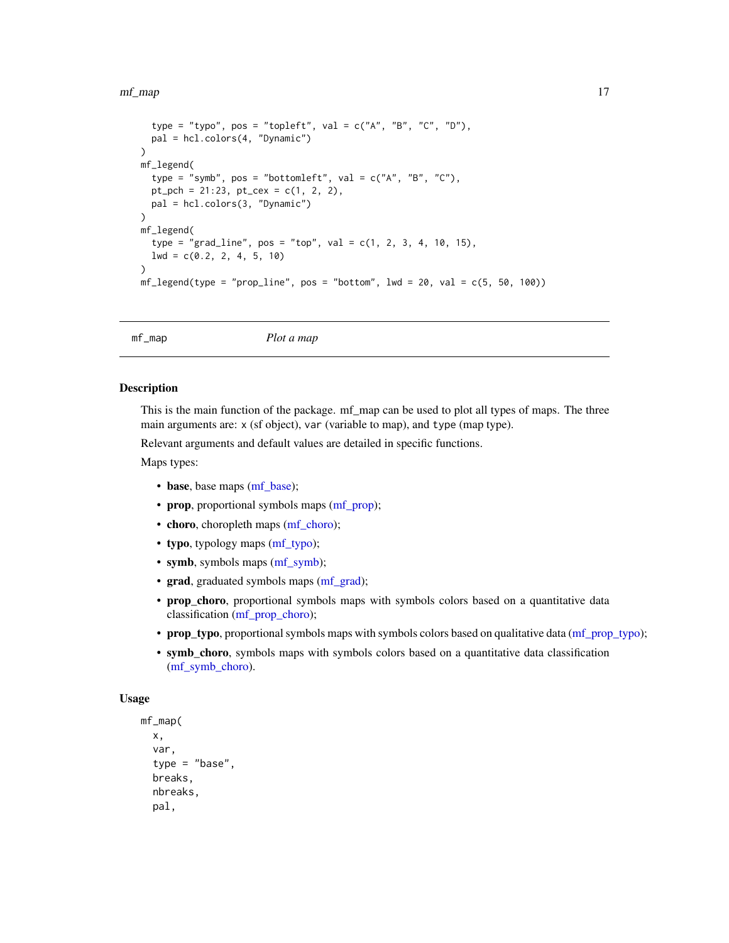#### <span id="page-16-0"></span>mf\_map 17

```
type = "typo", pos = "topleft", val = c("A", "B", "C", "D"),
  pal = hcl.colors(4, "Dynamic")
)
mf_legend(
  type = "symb", pos = "bottomleft", val = c("A", "B", "C"),pt\_pch = 21:23, pt\_cex = c(1, 2, 2),
  pal = hcl.colors(3, "Dynamic")
)
mf_legend(
  type = "grad_line", pos = "top", val = c(1, 2, 3, 4, 10, 15),
  lwd = c(0.2, 2, 4, 5, 10)
\lambdamf\_legend(type = "prop\_line", pos = "bottom", lwd = 20, val = c(5, 50, 100))
```
mf\_map *Plot a map*

### Description

This is the main function of the package. mf\_map can be used to plot all types of maps. The three main arguments are: x (sf object), var (variable to map), and type (map type).

Relevant arguments and default values are detailed in specific functions.

Maps types:

- base, base maps [\(mf\\_base\)](#page-0-0);
- prop, proportional symbols maps [\(mf\\_prop\)](#page-0-0);
- choro, choropleth maps [\(mf\\_choro\)](#page-0-0);
- typo, typology maps [\(mf\\_typo\)](#page-0-0);
- symb, symbols maps [\(mf\\_symb\)](#page-0-0);
- grad, graduated symbols maps [\(mf\\_grad\)](#page-0-0);
- prop\_choro, proportional symbols maps with symbols colors based on a quantitative data classification [\(mf\\_prop\\_choro\)](#page-0-0);
- prop\_typo, proportional symbols maps with symbols colors based on qualitative data [\(mf\\_prop\\_typo\)](#page-0-0);
- symb\_choro, symbols maps with symbols colors based on a quantitative data classification [\(mf\\_symb\\_choro\)](#page-0-0).

```
mf_map(
  x,
  var,
  type = "base".
 breaks,
  nbreaks,
  pal,
```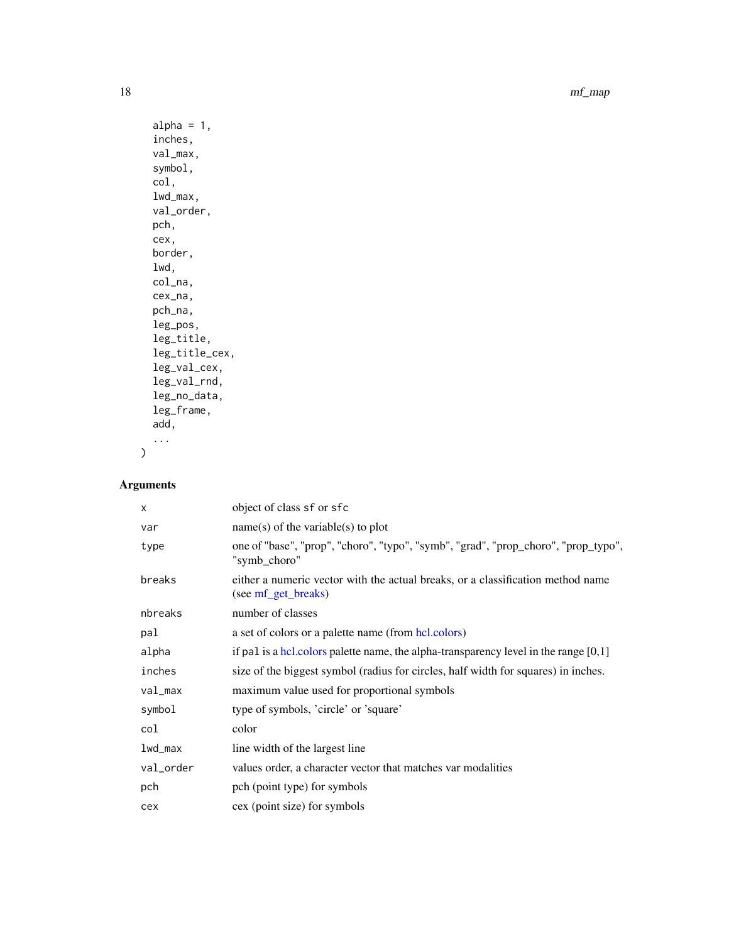18 mf\_map

```
alpha = 1,
inches,
val_max,
symbol,
col,
lwd_max,
val_order,
pch,
cex,
border,
lwd,
col_na,
cex_na,
pch_na,
leg_pos,
leg_title,
leg_title_cex,
leg_val_cex,
leg_val_rnd,
leg_no_data,
leg_frame,
add,
...
```
### Arguments

 $\overline{)}$ 

| X         | object of class sf or sfc                                                                              |
|-----------|--------------------------------------------------------------------------------------------------------|
| var       | $name(s)$ of the variable(s) to plot                                                                   |
| type      | one of "base", "prop", "choro", "typo", "symb", "grad", "prop_choro", "prop_typo",<br>"symb_choro"     |
| breaks    | either a numeric vector with the actual breaks, or a classification method name<br>(see mf_get_breaks) |
| nbreaks   | number of classes                                                                                      |
| pal       | a set of colors or a palette name (from hcl.colors)                                                    |
| alpha     | if pal is a hcl. colors palette name, the alpha-transparency level in the range $[0,1]$                |
| inches    | size of the biggest symbol (radius for circles, half width for squares) in inches.                     |
| val_max   | maximum value used for proportional symbols                                                            |
| symbol    | type of symbols, 'circle' or 'square'                                                                  |
| col       | color                                                                                                  |
| $1wd_max$ | line width of the largest line                                                                         |
| val_order | values order, a character vector that matches var modalities                                           |
| pch       | pch (point type) for symbols                                                                           |
| cex       | cex (point size) for symbols                                                                           |

<span id="page-17-0"></span>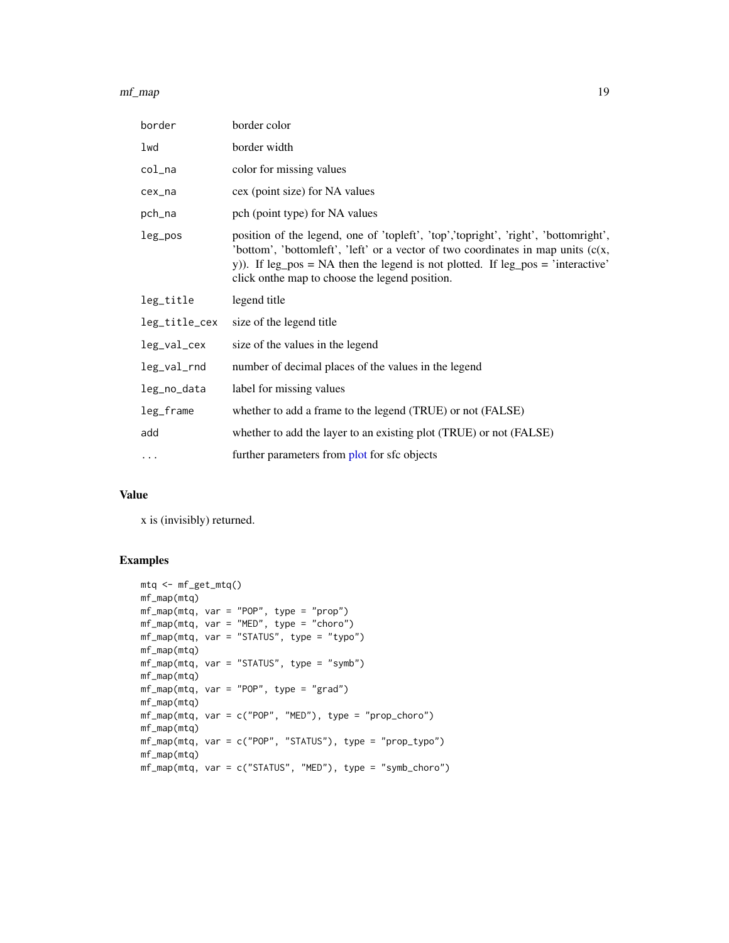#### <span id="page-18-0"></span>mf\_map 19

| border        | border color                                                                                                                                                                                                                                                                                                    |
|---------------|-----------------------------------------------------------------------------------------------------------------------------------------------------------------------------------------------------------------------------------------------------------------------------------------------------------------|
| lwd           | border width                                                                                                                                                                                                                                                                                                    |
| col_na        | color for missing values                                                                                                                                                                                                                                                                                        |
| cex_na        | cex (point size) for NA values                                                                                                                                                                                                                                                                                  |
| pch_na        | pch (point type) for NA values                                                                                                                                                                                                                                                                                  |
| leg_pos       | position of the legend, one of 'topleft', 'top','topright', 'right', 'bottomright',<br>'bottom', 'bottomleft', 'left' or a vector of two coordinates in map units $(c(x,$<br>y)). If leg_pos = NA then the legend is not plotted. If leg_pos = 'interactive'<br>click on the map to choose the legend position. |
| leg_title     | legend title                                                                                                                                                                                                                                                                                                    |
| leg_title_cex | size of the legend title                                                                                                                                                                                                                                                                                        |
| leg_val_cex   | size of the values in the legend                                                                                                                                                                                                                                                                                |
|               |                                                                                                                                                                                                                                                                                                                 |
| leg_val_rnd   | number of decimal places of the values in the legend                                                                                                                                                                                                                                                            |
| leg_no_data   | label for missing values                                                                                                                                                                                                                                                                                        |
| leg_frame     | whether to add a frame to the legend (TRUE) or not (FALSE)                                                                                                                                                                                                                                                      |
| add           | whether to add the layer to an existing plot (TRUE) or not (FALSE)                                                                                                                                                                                                                                              |

### Value

x is (invisibly) returned.

```
mtq <- mf_get_mtq()
mf_map(mtq)
mf_map(mtq, var = "POP", type = "prop")
mf_map(mtq, var = "MED", type = "choro")
mf_map(mtq, var = "STATUS", type = "typo")
mf_map(mtq)
mf_map(mtq, var = "STATUS", type = "symb")
mf_map(mtq)
mf_map(mtq, var = "POP", type = "grad")
mf_map(mtq)
mf_map(mtq, var = c("POP", "MED"), type = "prop_choro")
mf_map(mtq)
mf_map(mtq, var = c("POP", "STATUS"), type = "prop_typo")
mf_map(mtq)
mf_map(mtq, var = c("STATUS", "MED"), type = "symb_choro")
```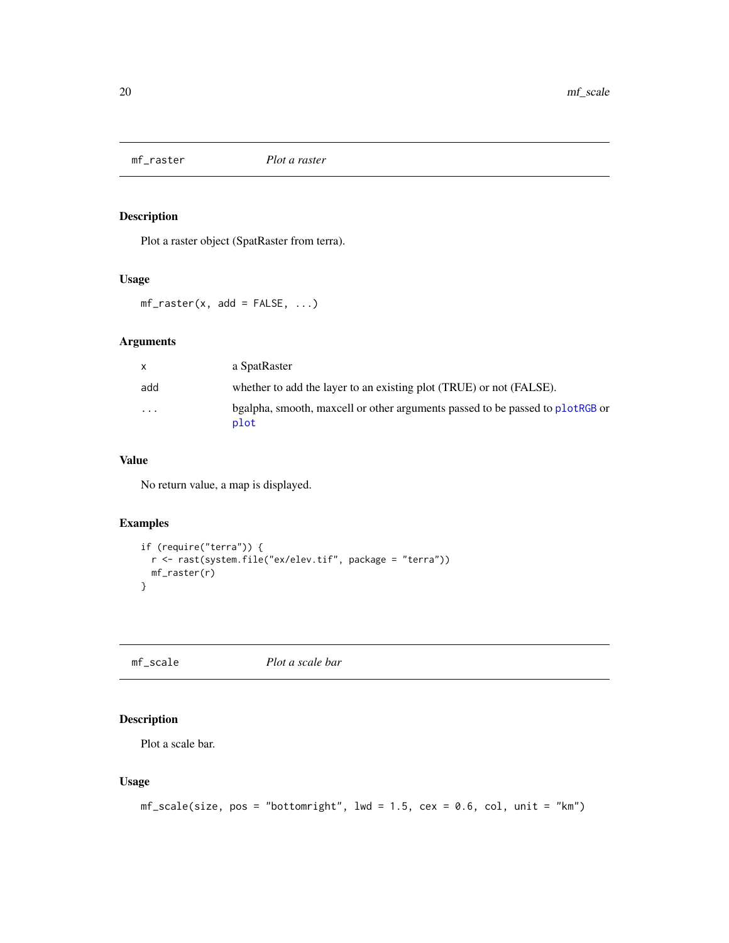<span id="page-19-0"></span>

### Description

Plot a raster object (SpatRaster from terra).

### Usage

 $mf\_raster(x, add = FALSE, ...)$ 

### Arguments

| $\mathsf{x}$            | a SpatRaster                                                                          |
|-------------------------|---------------------------------------------------------------------------------------|
| add                     | whether to add the layer to an existing plot (TRUE) or not (FALSE).                   |
| $\cdot$ $\cdot$ $\cdot$ | bgalpha, smooth, maxcell or other arguments passed to be passed to plotRGB or<br>plot |

### Value

No return value, a map is displayed.

### Examples

```
if (require("terra")) {
  r <- rast(system.file("ex/elev.tif", package = "terra"))
 mf_raster(r)
}
```
<span id="page-19-1"></span>mf\_scale *Plot a scale bar*

### Description

Plot a scale bar.

```
mf\_scale(size, pos = "bottomright", lwd = 1.5, cex = 0.6, col, unit = "km")
```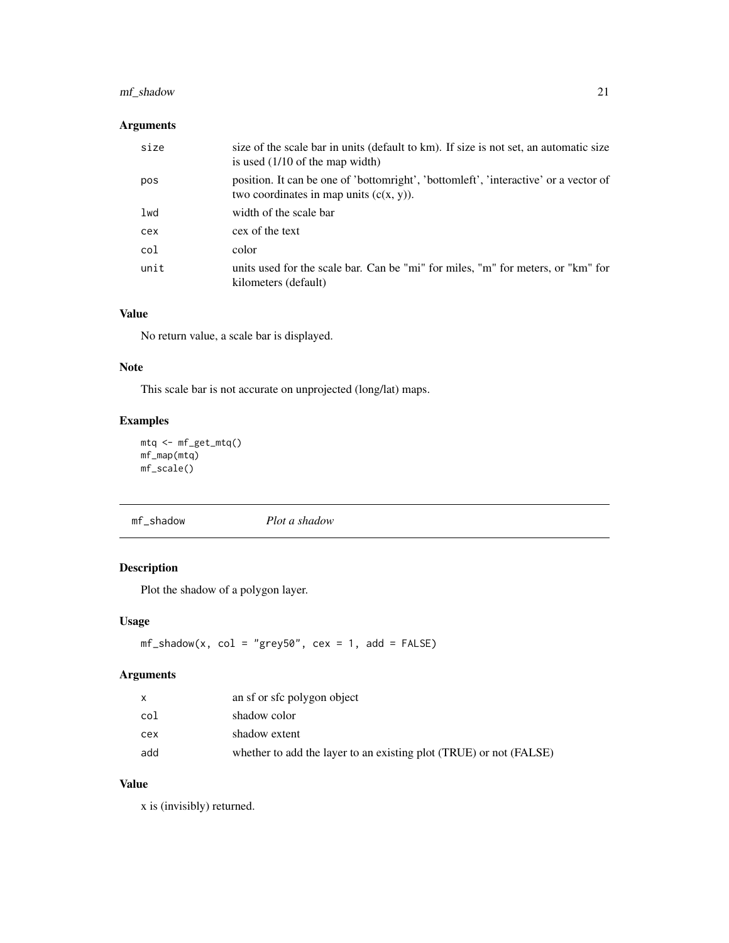### <span id="page-20-0"></span>mf\_shadow 21

### Arguments

| size | size of the scale bar in units (default to km). If size is not set, an automatic size<br>is used $(1/10$ of the map width)         |
|------|------------------------------------------------------------------------------------------------------------------------------------|
| pos  | position. It can be one of 'bottomright', 'bottomleft', 'interactive' or a vector of<br>two coordinates in map units $(c(x, y))$ . |
| lwd  | width of the scale bar                                                                                                             |
| cex  | cex of the text                                                                                                                    |
| col  | color                                                                                                                              |
| unit | units used for the scale bar. Can be "mi" for miles, "m" for meters, or "km" for<br>kilometers (default)                           |

### Value

No return value, a scale bar is displayed.

### Note

This scale bar is not accurate on unprojected (long/lat) maps.

### Examples

```
mtq <- mf_get_mtq()
mf_map(mtq)
mf_scale()
```

| mf_shadow |  | Plot a shadow |
|-----------|--|---------------|
|-----------|--|---------------|

### Description

Plot the shadow of a polygon layer.

### Usage

```
mf\_shadow(x, col = "grey50", cex = 1, add = FALSE)
```
### Arguments

|     | an sf or sfc polygon object                                        |
|-----|--------------------------------------------------------------------|
| col | shadow color                                                       |
| сех | shadow extent                                                      |
| add | whether to add the layer to an existing plot (TRUE) or not (FALSE) |

### Value

x is (invisibly) returned.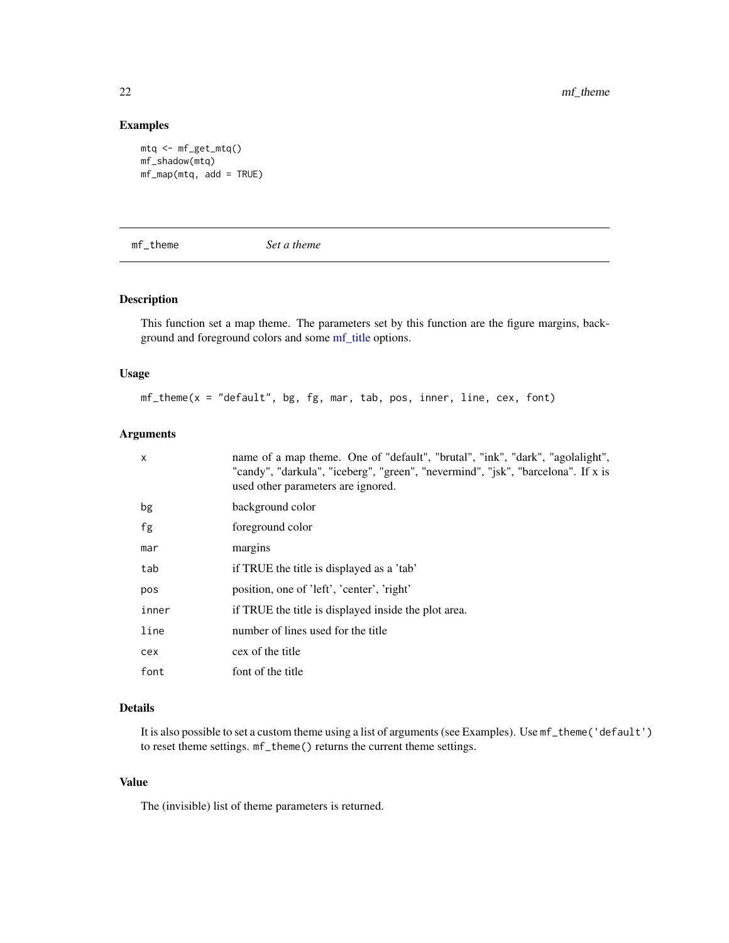#### Examples

```
mtq <- mf_get_mtq()
mf_shadow(mtq)
mf_map(mtq, add = TRUE)
```
mf\_theme *Set a theme*

### Description

This function set a map theme. The parameters set by this function are the figure margins, background and foreground colors and some [mf\\_title](#page-22-1) options.

### Usage

mf\_theme(x = "default", bg, fg, mar, tab, pos, inner, line, cex, font)

### Arguments

| $\mathsf{x}$ | name of a map theme. One of "default", "brutal", "ink", "dark", "agolalight",<br>"candy", "darkula", "iceberg", "green", "nevermind", "jsk", "barcelona". If x is<br>used other parameters are ignored. |
|--------------|---------------------------------------------------------------------------------------------------------------------------------------------------------------------------------------------------------|
| bg           | background color                                                                                                                                                                                        |
| fg           | foreground color                                                                                                                                                                                        |
| mar          | margins                                                                                                                                                                                                 |
| tab          | if TRUE the title is displayed as a 'tab'                                                                                                                                                               |
| pos          | position, one of 'left', 'center', 'right'                                                                                                                                                              |
| inner        | if TRUE the title is displayed inside the plot area.                                                                                                                                                    |
| line         | number of lines used for the title                                                                                                                                                                      |
| cex          | cex of the title                                                                                                                                                                                        |
| font         | font of the title                                                                                                                                                                                       |

### Details

It is also possible to set a custom theme using a list of arguments (see Examples). Use mf\_theme('default') to reset theme settings. mf\_theme() returns the current theme settings.

#### Value

The (invisible) list of theme parameters is returned.

<span id="page-21-0"></span>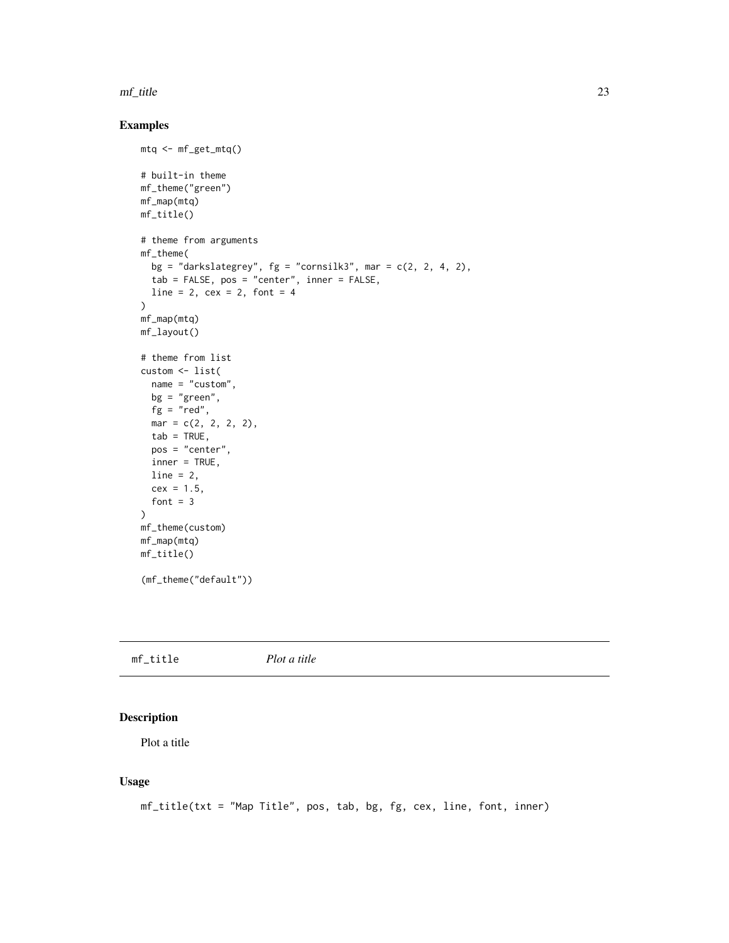#### <span id="page-22-0"></span>mf\_title 23

### Examples

```
mtq <- mf_get_mtq()
# built-in theme
mf_theme("green")
mf_map(mtq)
mf_title()
# theme from arguments
mf_theme(
  bg = "darkslategrey", fg = "cornsilk3", mar = c(2, 2, 4, 2),
  tab = FALSE, pos = "center", inner = FALSE,
  line = 2, cex = 2, font = 4
\lambdamf_map(mtq)
mf_layout()
# theme from list
custom <- list(
  name = "custom",
  bg = "green",
  fg = "red",mar = c(2, 2, 2, 2),
  tab = TRUE,pos = "center",
  inner = TRUE,
  line = 2,
  cex = 1.5,
  font = 3\mathcal{L}mf_theme(custom)
mf_map(mtq)
mf_title()
(mf_theme("default"))
```
<span id="page-22-1"></span>

|  | mf_title | Plot a title |  |  |
|--|----------|--------------|--|--|
|--|----------|--------------|--|--|

### Description

Plot a title

```
mf_title(txt = "Map Title", pos, tab, bg, fg, cex, line, font, inner)
```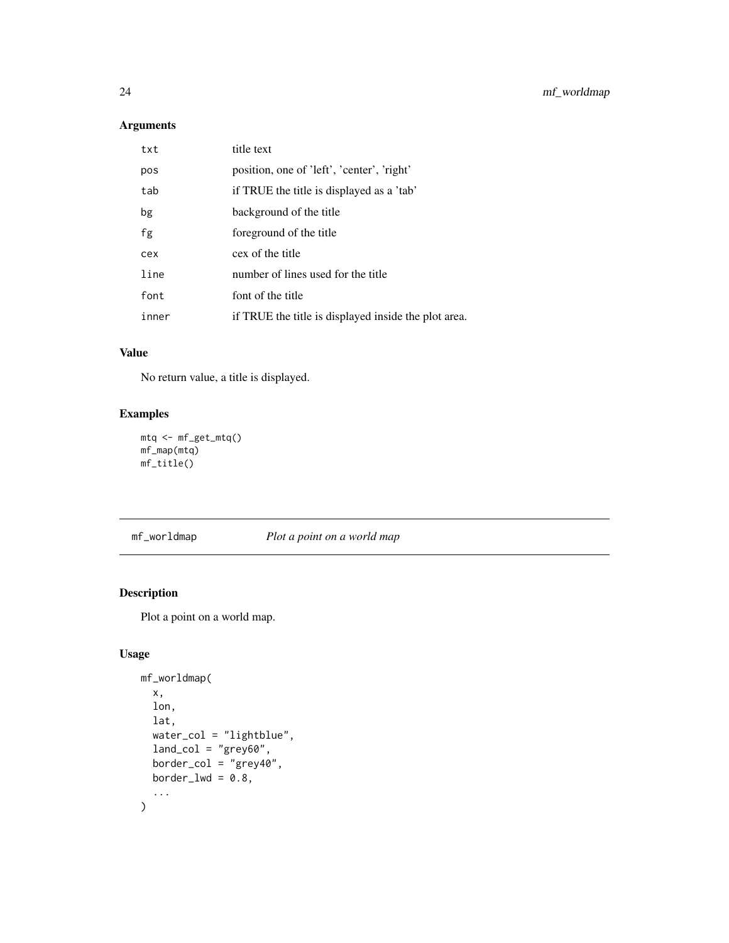### <span id="page-23-0"></span>Arguments

| txt   | title text                                           |
|-------|------------------------------------------------------|
| pos   | position, one of 'left', 'center', 'right'           |
| tab   | if TRUE the title is displayed as a 'tab'            |
| bg    | background of the title                              |
| fg    | foreground of the title                              |
| cex   | cex of the title                                     |
| line  | number of lines used for the title                   |
| font  | font of the title                                    |
| inner | if TRUE the title is displayed inside the plot area. |

### Value

No return value, a title is displayed.

### Examples

```
mtq <- mf_get_mtq()
mf_map(mtq)
mf_title()
```
<span id="page-23-1"></span>mf\_worldmap *Plot a point on a world map*

### Description

Plot a point on a world map.

```
mf_worldmap(
 x,
 lon,
 lat,
 water_col = "lightblue",
 land_col = "grey60",border_col = "grey40",
 border_lwd = 0.8,
  ...
)
```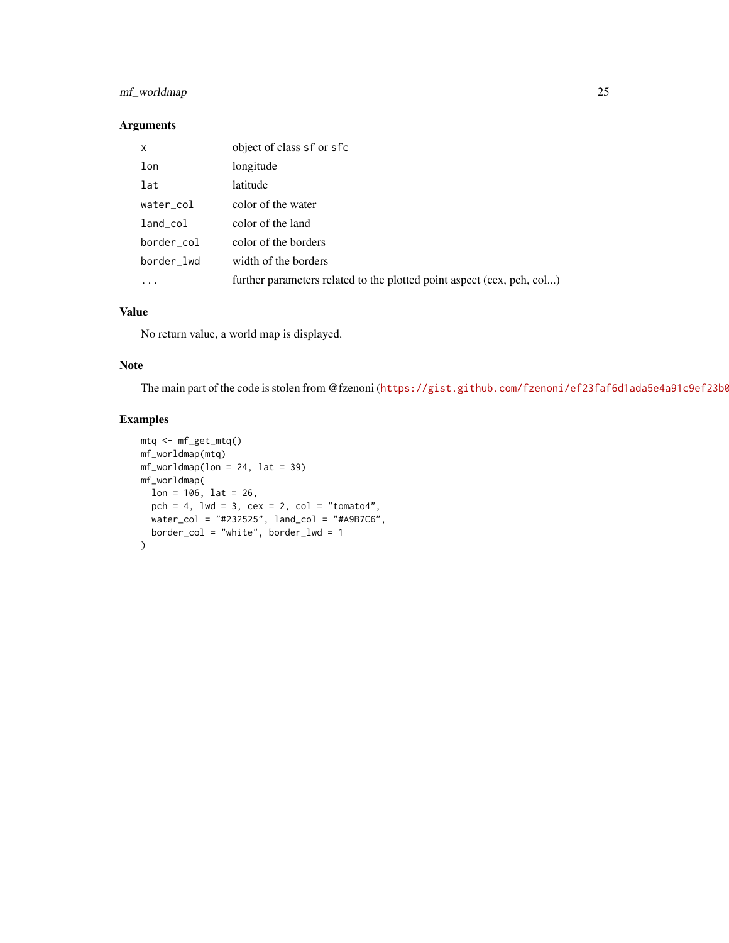### mf\_worldmap 25

### Arguments

| X           | object of class sf or sfc                                              |
|-------------|------------------------------------------------------------------------|
| lon         | longitude                                                              |
| lat         | latitude                                                               |
| water_col   | color of the water                                                     |
| $land\_col$ | color of the land                                                      |
| border_col  | color of the borders                                                   |
| border lwd  | width of the borders                                                   |
|             | further parameters related to the plotted point aspect (cex, pch, col) |

### Value

No return value, a world map is displayed.

### Note

The main part of the code is stolen from @fzenoni (https://gist.github.com/fzenoni/ef23faf6d1ada5e4a91c9ef23b0

```
mtq <- mf_get_mtq()
mf_worldmap(mtq)
mf_worldmap(lon = 24, lat = 39)mf_worldmap(
 lon = 106, lat = 26,
  pch = 4, lwd = 3, cex = 2, col = "tomato4",
  water_col = "#232525", land_col = "#A9B7C6",
  border_col = "white", border_lwd = 1
)
```